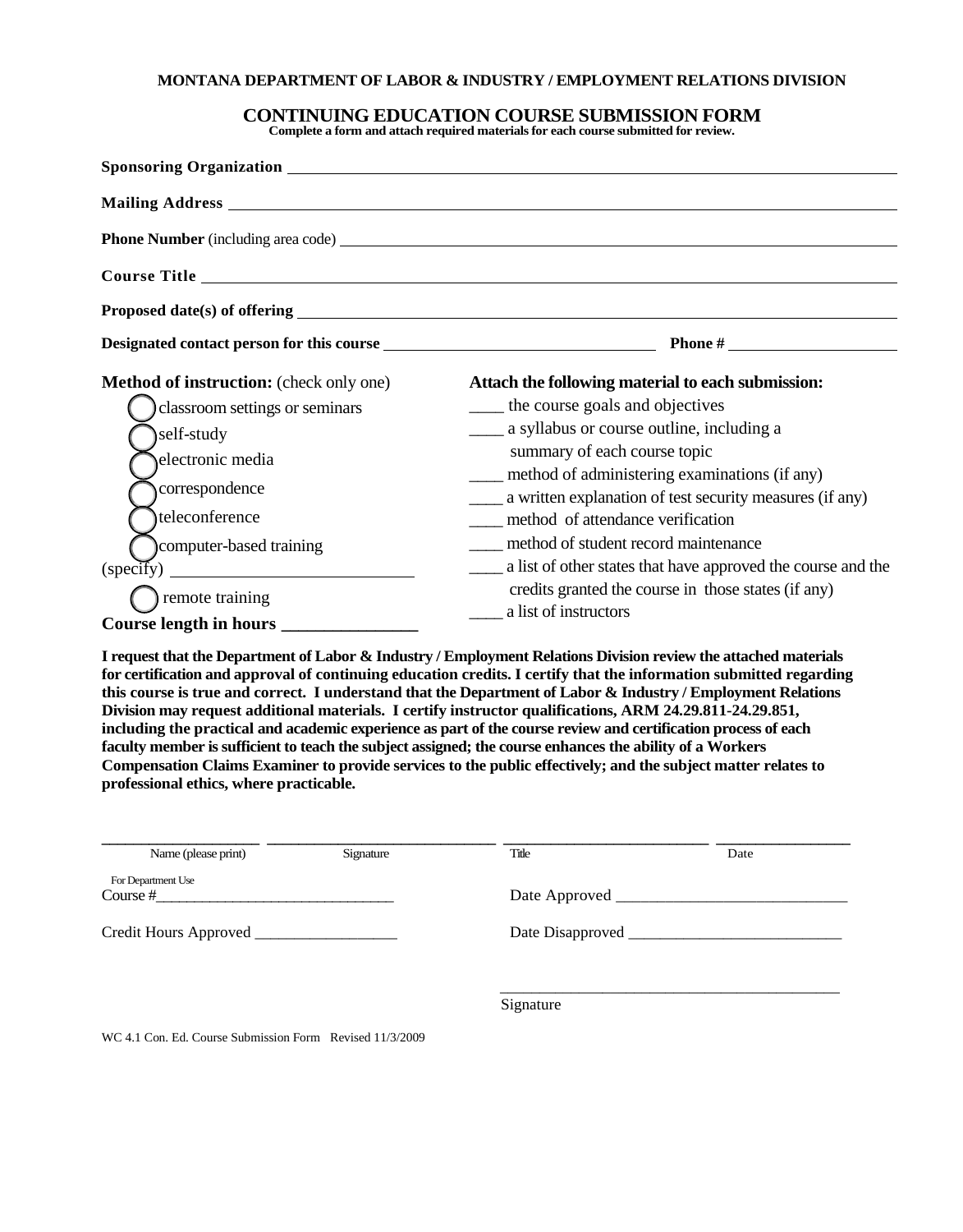#### **MONTANA DEPARTMENT OF LABOR & INDUSTRY / EMPLOYMENT RELATIONS DIVISION**

### **CONTINUING EDUCATION COURSE SUBMISSION FORM**

**Complete a form and attach required materials for each course submitted for review.**

|                                                                 | Designated contact person for this course entries and the set of the property of the property of the property of the set of the set of the set of the set of the set of the set of the set of the set of the set of the set of |  |  |  |
|-----------------------------------------------------------------|--------------------------------------------------------------------------------------------------------------------------------------------------------------------------------------------------------------------------------|--|--|--|
| <b>Method of instruction:</b> (check only one)                  | Attach the following material to each submission:                                                                                                                                                                              |  |  |  |
| classroom settings or seminars                                  | _____ the course goals and objectives                                                                                                                                                                                          |  |  |  |
| self-study                                                      | ______ a syllabus or course outline, including a                                                                                                                                                                               |  |  |  |
| electronic media                                                | summary of each course topic                                                                                                                                                                                                   |  |  |  |
|                                                                 | method of administering examinations (if any)                                                                                                                                                                                  |  |  |  |
| correspondence                                                  | a written explanation of test security measures (if any)                                                                                                                                                                       |  |  |  |
| teleconference                                                  | method of attendance verification                                                                                                                                                                                              |  |  |  |
| computer-based training                                         | method of student record maintenance                                                                                                                                                                                           |  |  |  |
| (specify)<br><u> 1980 - Johann Barbara, martxa alemani</u> ar a | a list of other states that have approved the course and the                                                                                                                                                                   |  |  |  |
| remote training                                                 | credits granted the course in those states (if any)                                                                                                                                                                            |  |  |  |
| Course length in hours                                          | a list of instructors                                                                                                                                                                                                          |  |  |  |

**I request that the Department of Labor & Industry / Employment Relations Division review the attached materials for certification and approval of continuing education credits. I certify that the information submitted regarding this course is true and correct. I understand that the Department of Labor & Industry / Employment Relations Division may request additional materials. I certify instructor qualifications, ARM 24.29.811-24.29.851, including the practical and academic experience as part of the course review and certification process of each faculty member is sufficient to teach the subject assigned; the course enhances the ability of a Workers Compensation Claims Examiner to provide services to the public effectively; and the subject matter relates to professional ethics, where practicable.**

| Name (please print)            | Signature | Title     | Date |  |
|--------------------------------|-----------|-----------|------|--|
| For Department Use<br>Course # |           |           |      |  |
|                                |           |           |      |  |
|                                |           | Signature |      |  |

WC 4.1 Con. Ed. Course Submission Form Revised 11/3/2009